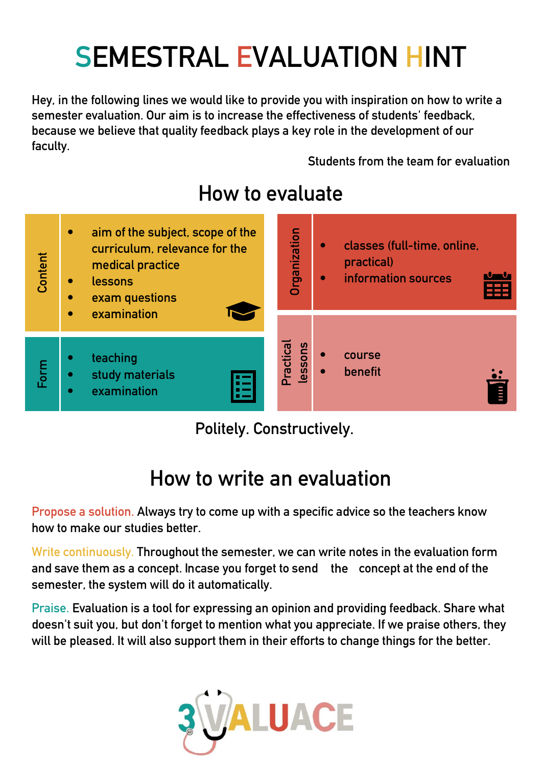## **SEMESTRAL EVALUATION HINT**

**Hey, in the following lines we would like to provide you with inspiration on how to write a semester evaluation. Our aim is to increase the effectiveness of students' feedback, because we believe that quality feedback plays a key role in the development of our faculty.** 

**Students from the team for evaluation**



## **How to evaluate**

**Politely. Constructively.**

## **How to write an evaluation**

**Propose a solution. Always try to come up with a specific advice so the teachers know how to make our studies better.**

**Write continuously. Throughout the semester, we can write notes in the evaluation form**  and save them as a concept. Incase you forget to send the concept at the end of the **semester, the system will do it automatically.**

**Praise. Evaluation is a tool for expressing an opinion and providing feedback. Share what doesn't suit you, but don't forget to mention what you appreciate. If we praise others, they will be pleased. It will also support them in their efforts to change things for the better.**